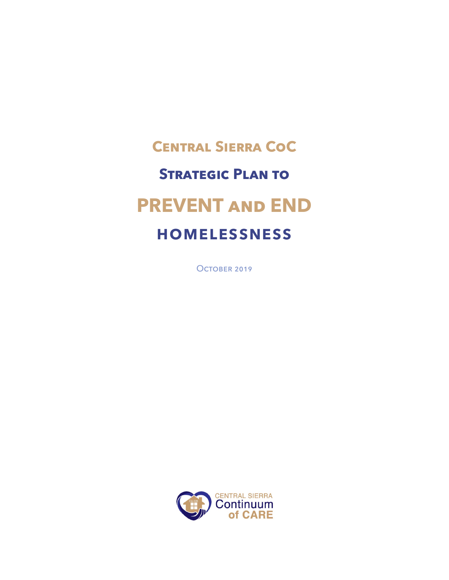# **Central Sierra CoC Strategic Plan to PREVENT and END HOMELESSNESS**

OCTOBER 2019

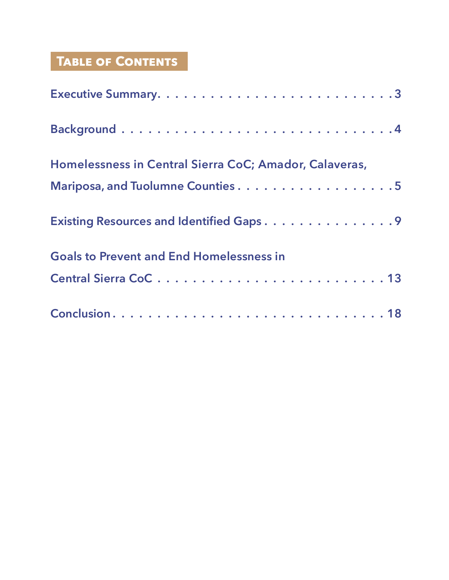## **Table of Contents**

| Homelessness in Central Sierra CoC; Amador, Calaveras, |
|--------------------------------------------------------|
| Mariposa, and Tuolumne Counties 5                      |
| Existing Resources and Identified Gaps9                |
| <b>Goals to Prevent and End Homelessness in</b>        |
|                                                        |
|                                                        |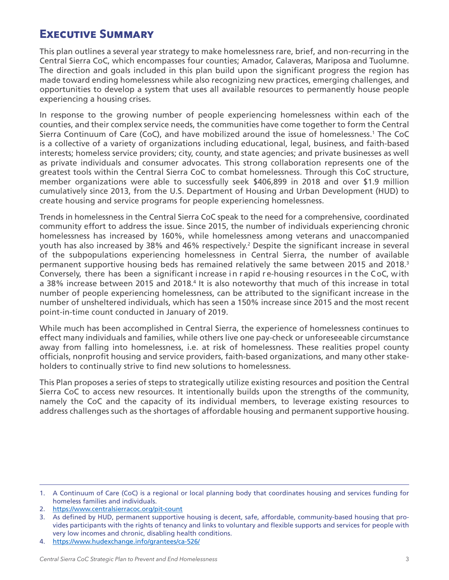## <span id="page-2-0"></span>**Executive Summary**

This plan outlines a several year strategy to make homelessness rare, brief, and non-recurring in the Central Sierra CoC, which encompasses four counties; Amador, Calaveras, Mariposa and Tuolumne. The direction and goals included in this plan build upon the significant progress the region has made toward ending homelessness while also recognizing new practices, emerging challenges, and opportunities to develop a system that uses all available resources to permanently house people experiencing a housing crises.

In response to the growing number of people experiencing homelessness within each of the counties, and their complex service needs, the communities have come together to form the Central Sierra Continuum of Care (CoC), and have mobilized around the issue of homelessness.<sup>1</sup> The CoC is a collective of a variety of organizations including educational, legal, business, and faith-based interests; homeless service providers; city, county, and state agencies; and private businesses as well as private individuals and consumer advocates. This strong collaboration represents one of the greatest tools within the Central Sierra CoC to combat homelessness. Through this CoC structure, member organizations were able to successfully seek \$406,899 in 2018 and over \$1.9 million cumulatively since 2013, from the U.S. Department of Housing and Urban Development (HUD) to create housing and service programs for people experiencing homelessness.

Trends in homelessness in the Central Sierra CoC speak to the need for a comprehensive, coordinated community effort to address the issue. Since 2015, the number of individuals experiencing chronic homelessness has increased by 160%, while homelessness among veterans and unaccompanied youth has also increased by 38% and 46% respectively.<sup>2</sup> Despite the significant increase in several of the subpopulations experiencing homelessness in Central Sierra, the number of available permanent supportive housing beds has remained relatively the same between 2015 and 2018.<sup>3</sup> Conversely, there has been a significant increase in rapid re-housing resources in the CoC, with a 38% increase between 2015 and 2018.<sup>4</sup> It is also noteworthy that much of this increase in total number of people experiencing homelessness, can be attributed to the significant increase in the number of unsheltered individuals, which has seen a 150% increase since 2015 and the most recent point-in-time count conducted in January of 2019.

While much has been accomplished in Central Sierra, the experience of homelessness continues to effect many individuals and families, while others live one pay-check or unforeseeable circumstance away from falling into homelessness, i.e. at risk of homelessness. These realities propel county officials, nonprofit housing and service providers, faith-based organizations, and many other stakeholders to continually strive to find new solutions to homelessness.

This Plan proposes a series of steps to strategically utilize existing resources and position the Central Sierra CoC to access new resources. It intentionally builds upon the strengths of the community, namely the CoC and the capacity of its individual members, to leverage existing resources to address challenges such as the shortages of affordable housing and permanent supportive housing.

<sup>1.</sup> A Continuum of Care (CoC) is a regional or local planning body that coordinates housing and services funding for homeless families and individuals.

<sup>2.</sup> <https://www.centralsierracoc.org/pit-count>

<sup>3.</sup> As defined by HUD, permanent supportive housing is decent, safe, affordable, community-based housing that provides participants with the rights of tenancy and links to voluntary and flexible supports and services for people with very low incomes and chronic, disabling health conditions.

<sup>4.</sup> <https://www.hudexchange.info/grantees/ca-526/>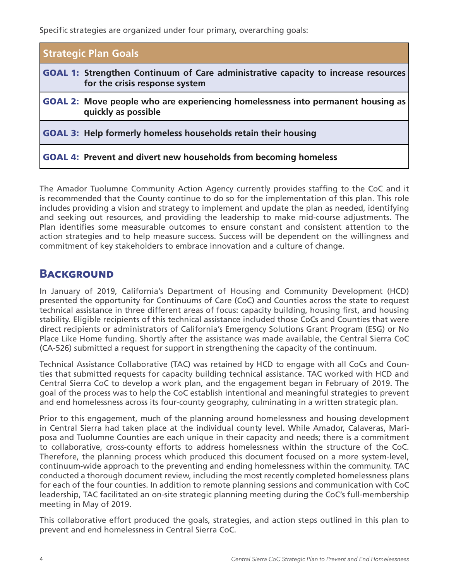<span id="page-3-0"></span>Specific strategies are organized under four primary, overarching goals:

| <b>Strategic Plan Goals</b>                                                                                                 |
|-----------------------------------------------------------------------------------------------------------------------------|
| <b>GOAL 1: Strengthen Continuum of Care administrative capacity to increase resources</b><br>for the crisis response system |
| <b>GOAL 2:</b> Move people who are experiencing homelessness into permanent housing as<br>quickly as possible               |
| <b>GOAL 3: Help formerly homeless households retain their housing</b>                                                       |
| <b>GOAL 4: Prevent and divert new households from becoming homeless</b>                                                     |

The Amador Tuolumne Community Action Agency currently provides staffing to the CoC and it is recommended that the County continue to do so for the implementation of this plan. This role includes providing a vision and strategy to implement and update the plan as needed, identifying and seeking out resources, and providing the leadership to make mid-course adjustments. The Plan identifies some measurable outcomes to ensure constant and consistent attention to the action strategies and to help measure success. Success will be dependent on the willingness and commitment of key stakeholders to embrace innovation and a culture of change.

## **BACKGROUND**

In January of 2019, California's Department of Housing and Community Development (HCD) presented the opportunity for Continuums of Care (CoC) and Counties across the state to request technical assistance in three different areas of focus: capacity building, housing first, and housing stability. Eligible recipients of this technical assistance included those CoCs and Counties that were direct recipients or administrators of California's Emergency Solutions Grant Program (ESG) or No Place Like Home funding. Shortly after the assistance was made available, the Central Sierra CoC (CA-526) submitted a request for support in strengthening the capacity of the continuum.

Technical Assistance Collaborative (TAC) was retained by HCD to engage with all CoCs and Counties that submitted requests for capacity building technical assistance. TAC worked with HCD and Central Sierra CoC to develop a work plan, and the engagement began in February of 2019. The goal of the process was to help the CoC establish intentional and meaningful strategies to prevent and end homelessness across its four-county geography, culminating in a written strategic plan.

Prior to this engagement, much of the planning around homelessness and housing development in Central Sierra had taken place at the individual county level. While Amador, Calaveras, Mariposa and Tuolumne Counties are each unique in their capacity and needs; there is a commitment to collaborative, cross-county efforts to address homelessness within the structure of the CoC. Therefore, the planning process which produced this document focused on a more system-level, continuum-wide approach to the preventing and ending homelessness within the community. TAC conducted a thorough document review, including the most recently completed homelessness plans for each of the four counties. In addition to remote planning sessions and communication with CoC leadership, TAC facilitated an on-site strategic planning meeting during the CoC's full-membership meeting in May of 2019.

This collaborative effort produced the goals, strategies, and action steps outlined in this plan to prevent and end homelessness in Central Sierra CoC.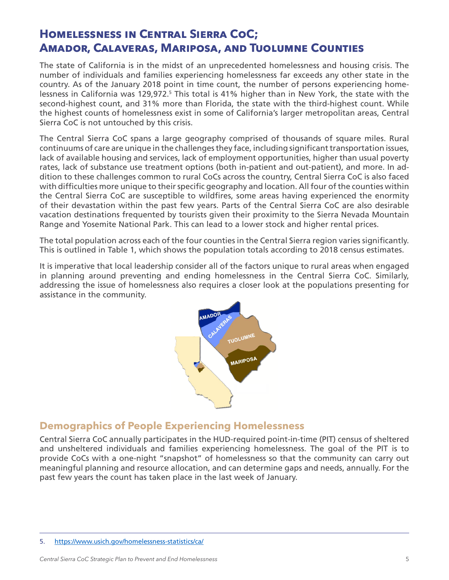## <span id="page-4-0"></span>**Homelessness in Central Sierra CoC; Amador, Calaveras, Mariposa, and Tuolumne Counties**

The state of California is in the midst of an unprecedented homelessness and housing crisis. The number of individuals and families experiencing homelessness far exceeds any other state in the country. As of the January 2018 point in time count, the number of persons experiencing homelessness in California was 129,972.<sup>5</sup> This total is 41% higher than in New York, the state with the second-highest count, and 31% more than Florida, the state with the third-highest count. While the highest counts of homelessness exist in some of California's larger metropolitan areas, Central Sierra CoC is not untouched by this crisis.

The Central Sierra CoC spans a large geography comprised of thousands of square miles. Rural continuums of care are unique in the challenges they face, including significant transportation issues, lack of available housing and services, lack of employment opportunities, higher than usual poverty rates, lack of substance use treatment options (both in-patient and out-patient), and more. In addition to these challenges common to rural CoCs across the country, Central Sierra CoC is also faced with difficulties more unique to their specific geography and location. All four of the counties within the Central Sierra CoC are susceptible to wildfires, some areas having experienced the enormity of their devastation within the past few years. Parts of the Central Sierra CoC are also desirable vacation destinations frequented by tourists given their proximity to the Sierra Nevada Mountain Range and Yosemite National Park. This can lead to a lower stock and higher rental prices.

The total population across each of the four counties in the Central Sierra region varies significantly. This is outlined in Table 1, which shows the population totals according to 2018 census estimates.

It is imperative that local leadership consider all of the factors unique to rural areas when engaged in planning around preventing and ending homelessness in the Central Sierra CoC. Similarly, addressing the issue of homelessness also requires a closer look at the populations presenting for assistance in the community.



### **Demographics of People Experiencing Homelessness**

Central Sierra CoC annually participates in the HUD-required point-in-time (PIT) census of sheltered and unsheltered individuals and families experiencing homelessness. The goal of the PIT is to provide CoCs with a one-night "snapshot" of homelessness so that the community can carry out meaningful planning and resource allocation, and can determine gaps and needs, annually. For the past few years the count has taken place in the last week of January.

<sup>5.</sup> <https://www.usich.gov/homelessness-statistics/ca/>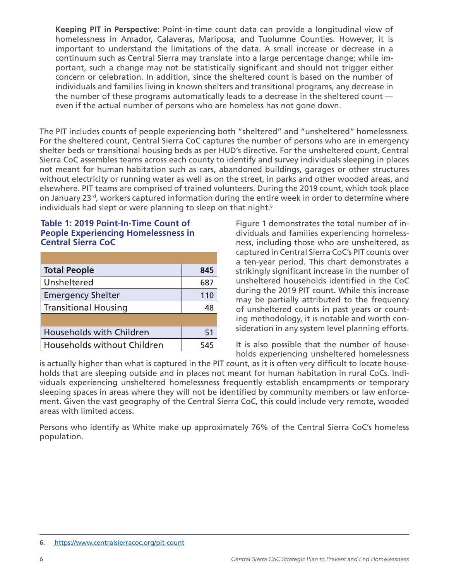**Keeping PIT in Perspective:** Point-in-time count data can provide a longitudinal view of homelessness in Amador, Calaveras, Mariposa, and Tuolumne Counties. However, it is important to understand the limitations of the data. A small increase or decrease in a continuum such as Central Sierra may translate into a large percentage change; while important, such a change may not be statistically significant and should not trigger either concern or celebration. In addition, since the sheltered count is based on the number of individuals and families living in known shelters and transitional programs, any decrease in the number of these programs automatically leads to a decrease in the sheltered count even if the actual number of persons who are homeless has not gone down.

The PIT includes counts of people experiencing both "sheltered" and "unsheltered" homelessness. For the sheltered count, Central Sierra CoC captures the number of persons who are in emergency shelter beds or transitional housing beds as per HUD's directive. For the unsheltered count, Central Sierra CoC assembles teams across each county to identify and survey individuals sleeping in places not meant for human habitation such as cars, abandoned buildings, garages or other structures without electricity or running water as well as on the street, in parks and other wooded areas, and elsewhere. PIT teams are comprised of trained volunteers. During the 2019 count, which took place on January 23<sup>rd</sup>, workers captured information during the entire week in order to determine where individuals had slept or were planning to sleep on that night.<sup>6</sup>

#### **Table 1: 2019 Point-In-Time Count of People Experiencing Homelessness in Central Sierra CoC**

| <b>Total People</b>               | 845 |
|-----------------------------------|-----|
| Unsheltered                       | 687 |
| <b>Emergency Shelter</b>          | 110 |
| <b>Transitional Housing</b><br>48 |     |
|                                   |     |
| Households with Children          | 51  |
| Households without Children       | 545 |

Figure 1 demonstrates the total number of individuals and families experiencing homelessness, including those who are unsheltered, as captured in Central Sierra CoC's PIT counts over a ten-year period. This chart demonstrates a strikingly significant increase in the number of unsheltered households identified in the CoC during the 2019 PIT count. While this increase may be partially attributed to the frequency of unsheltered counts in past years or counting methodology, it is notable and worth consideration in any system level planning efforts.

It is also possible that the number of households experiencing unsheltered homelessness

is actually higher than what is captured in the PIT count, as it is often very difficult to locate households that are sleeping outside and in places not meant for human habitation in rural CoCs. Individuals experiencing unsheltered homelessness frequently establish encampments or temporary sleeping spaces in areas where they will not be identified by community members or law enforcement. Given the vast geography of the Central Sierra CoC, this could include very remote, wooded areas with limited access.

Persons who identify as White make up approximately 76% of the Central Sierra CoC's homeless population.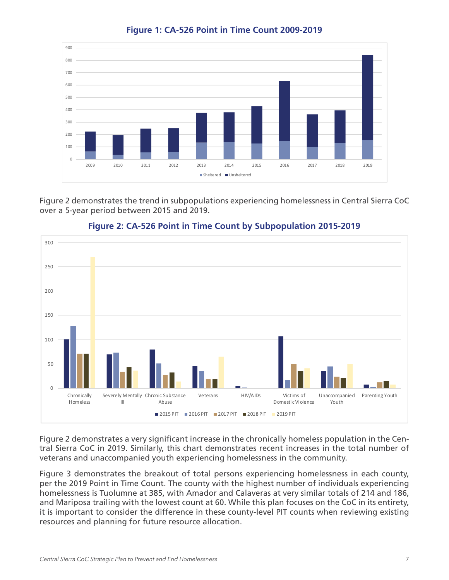

**Figure 1: CA-526 Point in Time Count 2009-2019** 

Figure 2 demonstrates the trend in subpopulations experiencing homelessness in Central Sierra CoC over a 5-year period between 2015 and 2019.





Figure 2 demonstrates a very significant increase in the chronically homeless population in the Central Sierra CoC in 2019. Similarly, this chart demonstrates recent increases in the total number of veterans and unaccompanied youth experiencing homelessness in the community.

Figure 3 demonstrates the breakout of total persons experiencing homelessness in each county, per the 2019 Point in Time Count. The county with the highest number of individuals experiencing homelessness is Tuolumne at 385, with Amador and Calaveras at very similar totals of 214 and 186, and Mariposa trailing with the lowest count at 60. While this plan focuses on the CoC in its entirety, it is important to consider the difference in these county-level PIT counts when reviewing existing resources and planning for future resource allocation.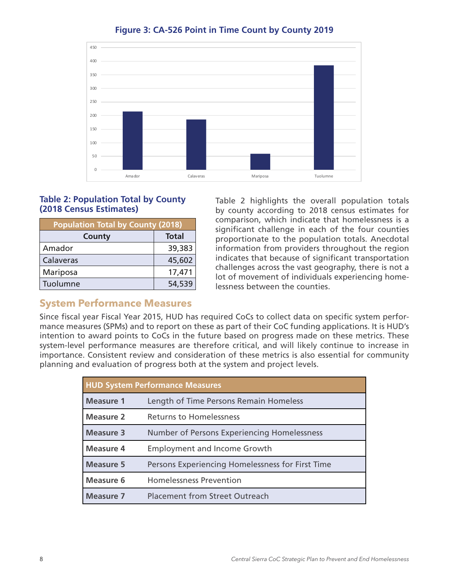

#### **Figure 3: CA-526 Point in Time Count by County 2019**

#### **Table 2: Population Total by County (2018 Census Estimates)**

| <b>Population Total by County (2018)</b> |              |
|------------------------------------------|--------------|
| County                                   | <b>Total</b> |
| Amador                                   | 39,383       |
| Calaveras                                | 45,602       |
| Mariposa                                 | 17,471       |
| Tuolumne                                 | 54,539       |

Table 2 highlights the overall population totals by county according to 2018 census estimates for comparison, which indicate that homelessness is a significant challenge in each of the four counties proportionate to the population totals. Anecdotal information from providers throughout the region indicates that because of significant transportation challenges across the vast geography, there is not a lot of movement of individuals experiencing homelessness between the counties.

### **System Performance Measures**

Since fiscal year Fiscal Year 2015, HUD has required CoCs to collect data on specific system performance measures (SPMs) and to report on these as part of their CoC funding applications. It is HUD's intention to award points to CoCs in the future based on progress made on these metrics. These system-level performance measures are therefore critical, and will likely continue to increase in importance. Consistent review and consideration of these metrics is also essential for community planning and evaluation of progress both at the system and project levels.

| <b>HUD System Performance Measures</b> |                                                  |  |
|----------------------------------------|--------------------------------------------------|--|
| <b>Measure 1</b>                       | Length of Time Persons Remain Homeless           |  |
| <b>Measure 2</b>                       | <b>Returns to Homelessness</b>                   |  |
| <b>Measure 3</b>                       | Number of Persons Experiencing Homelessness      |  |
| <b>Measure 4</b>                       | <b>Employment and Income Growth</b>              |  |
| <b>Measure 5</b>                       | Persons Experiencing Homelessness for First Time |  |
| <b>Measure 6</b>                       | <b>Homelessness Prevention</b>                   |  |
| <b>Measure 7</b>                       | <b>Placement from Street Outreach</b>            |  |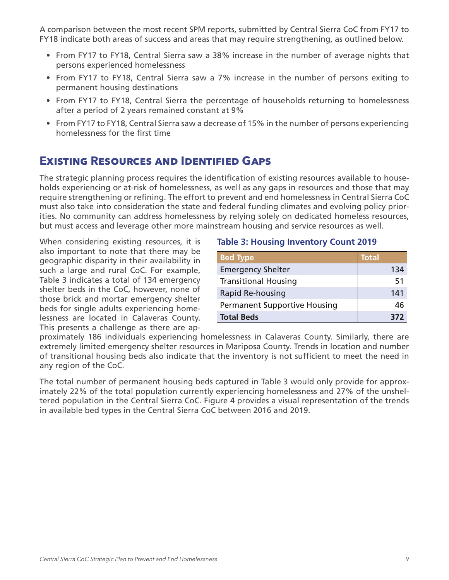<span id="page-8-0"></span>A comparison between the most recent SPM reports, submitted by Central Sierra CoC from FY17 to FY18 indicate both areas of success and areas that may require strengthening, as outlined below.

- From FY17 to FY18, Central Sierra saw a 38% increase in the number of average nights that persons experienced homelessness
- From FY17 to FY18, Central Sierra saw a 7% increase in the number of persons exiting to permanent housing destinations
- From FY17 to FY18, Central Sierra the percentage of households returning to homelessness after a period of 2 years remained constant at 9%
- From FY17 to FY18, Central Sierra saw a decrease of 15% in the number of persons experiencing homelessness for the first time

## **Existing Resources and Identified Gaps**

The strategic planning process requires the identification of existing resources available to households experiencing or at-risk of homelessness, as well as any gaps in resources and those that may require strengthening or refining. The effort to prevent and end homelessness in Central Sierra CoC must also take into consideration the state and federal funding climates and evolving policy priorities. No community can address homelessness by relying solely on dedicated homeless resources, but must access and leverage other more mainstream housing and service resources as well.

When considering existing resources, it is also important to note that there may be geographic disparity in their availability in such a large and rural CoC. For example, Table 3 indicates a total of 134 emergency shelter beds in the CoC, however, none of those brick and mortar emergency shelter beds for single adults experiencing homelessness are located in Calaveras County. This presents a challenge as there are ap-

#### **Table 3: Housing Inventory Count 2019**

| <b>Bed Type</b>                     | <b>Total</b> |
|-------------------------------------|--------------|
| <b>Emergency Shelter</b>            | 134          |
| <b>Transitional Housing</b>         | 51           |
| Rapid Re-housing                    | 141          |
| <b>Permanent Supportive Housing</b> |              |
| <b>Total Beds</b>                   | R77          |

proximately 186 individuals experiencing homelessness in Calaveras County. Similarly, there are extremely limited emergency shelter resources in Mariposa County. Trends in location and number of transitional housing beds also indicate that the inventory is not sufficient to meet the need in any region of the CoC.

The total number of permanent housing beds captured in Table 3 would only provide for approximately 22% of the total population currently experiencing homelessness and 27% of the unsheltered population in the Central Sierra CoC. Figure 4 provides a visual representation of the trends in available bed types in the Central Sierra CoC between 2016 and 2019.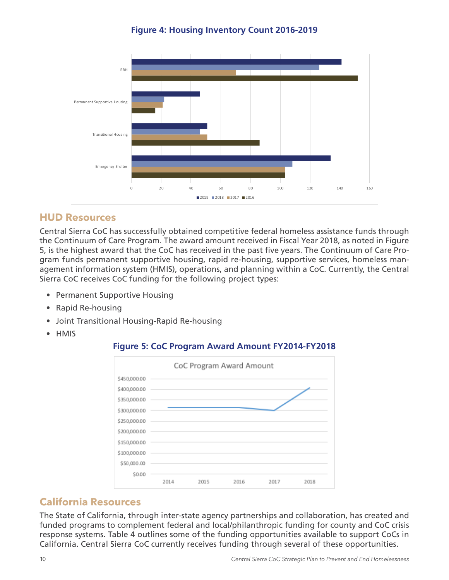**Figure 4: Housing Inventory Count 2016-2019**



### **HUD Resources**

Central Sierra CoC has successfully obtained competitive federal homeless assistance funds through the Continuum of Care Program. The award amount received in Fiscal Year 2018, as noted in Figure 5, is the highest award that the CoC has received in the past five years. The Continuum of Care Program funds permanent supportive housing, rapid re-housing, supportive services, homeless management information system (HMIS), operations, and planning within a CoC. Currently, the Central Sierra CoC receives CoC funding for the following project types:

- Permanent Supportive Housing
- Rapid Re-housing
- Joint Transitional Housing-Rapid Re-housing
- HMIS

### **Figure 5: CoC Program Award Amount FY2014-FY2018**



### **California Resources**

The State of California, through inter-state agency partnerships and collaboration, has created and funded programs to complement federal and local/philanthropic funding for county and CoC crisis response systems. Table 4 outlines some of the funding opportunities available to support CoCs in California. Central Sierra CoC currently receives funding through several of these opportunities.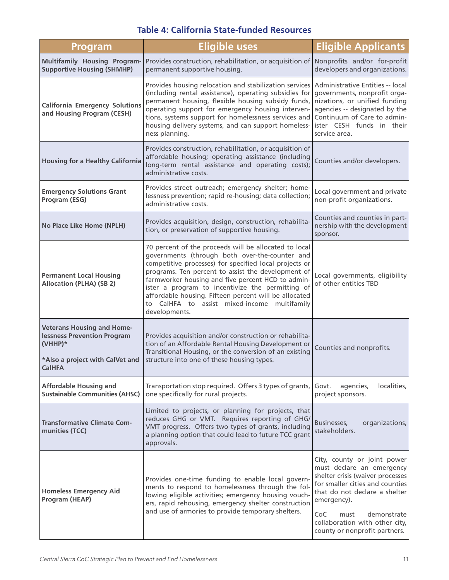### **Table 4: California State-funded Resources**

| <b>Program</b>                                                                                                                           | <b>Eligible uses</b>                                                                                                                                                                                                                                                                                                                                                                                                                                       | <b>Eligible Applicants</b>                                                                                                                                                                                                                                                       |
|------------------------------------------------------------------------------------------------------------------------------------------|------------------------------------------------------------------------------------------------------------------------------------------------------------------------------------------------------------------------------------------------------------------------------------------------------------------------------------------------------------------------------------------------------------------------------------------------------------|----------------------------------------------------------------------------------------------------------------------------------------------------------------------------------------------------------------------------------------------------------------------------------|
| <b>Multifamily Housing Program-</b><br><b>Supportive Housing (SHMHP)</b>                                                                 | Provides construction, rehabilitation, or acquisition of<br>permanent supportive housing.                                                                                                                                                                                                                                                                                                                                                                  | Nonprofits and/or for-profit<br>developers and organizations.                                                                                                                                                                                                                    |
| <b>California Emergency Solutions</b><br>and Housing Program (CESH)                                                                      | Provides housing relocation and stabilization services<br>(including rental assistance), operating subsidies for<br>permanent housing, flexible housing subsidy funds,<br>operating support for emergency housing interven-<br>tions, systems support for homelessness services and<br>housing delivery systems, and can support homeless-<br>ness planning.                                                                                               | Administrative Entities -- local<br>governments, nonprofit orga-<br>nizations, or unified funding<br>agencies -- designated by the<br>Continuum of Care to admin-<br>ister CESH funds in their<br>service area.                                                                  |
| <b>Housing for a Healthy California</b>                                                                                                  | Provides construction, rehabilitation, or acquisition of<br>affordable housing; operating assistance (including<br>long-term rental assistance and operating costs);<br>administrative costs.                                                                                                                                                                                                                                                              | Counties and/or developers.                                                                                                                                                                                                                                                      |
| <b>Emergency Solutions Grant</b><br>Program (ESG)                                                                                        | Provides street outreach; emergency shelter; home-<br>lessness prevention; rapid re-housing; data collection;<br>administrative costs.                                                                                                                                                                                                                                                                                                                     | Local government and private<br>non-profit organizations.                                                                                                                                                                                                                        |
| No Place Like Home (NPLH)                                                                                                                | Provides acquisition, design, construction, rehabilita-<br>tion, or preservation of supportive housing.                                                                                                                                                                                                                                                                                                                                                    | Counties and counties in part-<br>nership with the development<br>sponsor.                                                                                                                                                                                                       |
| <b>Permanent Local Housing</b><br><b>Allocation (PLHA) (SB 2)</b>                                                                        | 70 percent of the proceeds will be allocated to local<br>governments (through both over-the-counter and<br>competitive processes) for specified local projects or<br>programs. Ten percent to assist the development of<br>farmworker housing and five percent HCD to admin-<br>ister a program to incentivize the permitting of<br>affordable housing. Fifteen percent will be allocated<br>to CalHFA to assist mixed-income multifamily<br>developments. | Local governments, eligibility<br>of other entities TBD                                                                                                                                                                                                                          |
| <b>Veterans Housing and Home-</b><br><b>lessness Prevention Program</b><br>$(VHHP)*$<br>*Also a project with CalVet and<br><b>CalHFA</b> | Provides acquisition and/or construction or rehabilita-<br>tion of an Affordable Rental Housing Development or<br>Transitional Housing, or the conversion of an existing<br>structure into one of these housing types.                                                                                                                                                                                                                                     | Counties and nonprofits.                                                                                                                                                                                                                                                         |
| <b>Affordable Housing and</b><br><b>Sustainable Communities (AHSC)</b>                                                                   | Transportation stop required. Offers 3 types of grants,<br>one specifically for rural projects.                                                                                                                                                                                                                                                                                                                                                            | Govt.<br>localities,<br>agencies,<br>project sponsors.                                                                                                                                                                                                                           |
| <b>Transformative Climate Com-</b><br>munities (TCC)                                                                                     | Limited to projects, or planning for projects, that<br>reduces GHG or VMT. Requires reporting of GHG/<br>VMT progress. Offers two types of grants, including<br>a planning option that could lead to future TCC grant<br>approvals.                                                                                                                                                                                                                        | organizations,<br>Businesses,<br>stakeholders.                                                                                                                                                                                                                                   |
| <b>Homeless Emergency Aid</b><br>Program (HEAP)                                                                                          | Provides one-time funding to enable local govern-<br>ments to respond to homelessness through the fol-<br>lowing eligible activities; emergency housing vouch-<br>ers, rapid rehousing, emergency shelter construction<br>and use of armories to provide temporary shelters.                                                                                                                                                                               | City, county or joint power<br>must declare an emergency<br>shelter crisis (waiver processes<br>for smaller cities and counties<br>that do not declare a shelter<br>emergency).<br>CoC<br>demonstrate<br>must<br>collaboration with other city,<br>county or nonprofit partners. |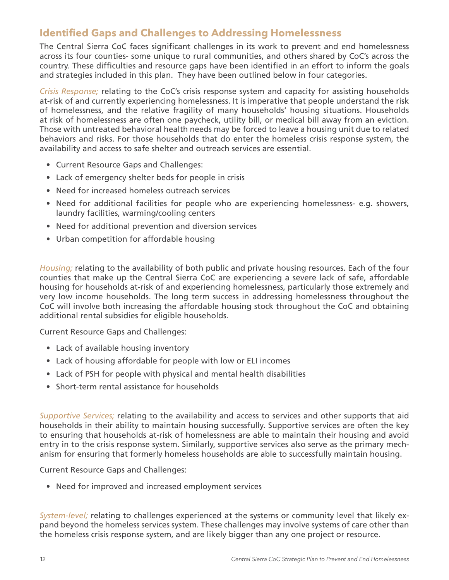## **Identified Gaps and Challenges to Addressing Homelessness**

The Central Sierra CoC faces significant challenges in its work to prevent and end homelessness across its four counties- some unique to rural communities, and others shared by CoC's across the country. These difficulties and resource gaps have been identified in an effort to inform the goals and strategies included in this plan. They have been outlined below in four categories.

*Crisis Response;* relating to the CoC's crisis response system and capacity for assisting households at-risk of and currently experiencing homelessness. It is imperative that people understand the risk of homelessness, and the relative fragility of many households' housing situations. Households at risk of homelessness are often one paycheck, utility bill, or medical bill away from an eviction. Those with untreated behavioral health needs may be forced to leave a housing unit due to related behaviors and risks. For those households that do enter the homeless crisis response system, the availability and access to safe shelter and outreach services are essential.

- Current Resource Gaps and Challenges:
- Lack of emergency shelter beds for people in crisis
- Need for increased homeless outreach services
- Need for additional facilities for people who are experiencing homelessness- e.g. showers, laundry facilities, warming/cooling centers
- Need for additional prevention and diversion services
- Urban competition for affordable housing

*Housing;* relating to the availability of both public and private housing resources. Each of the four counties that make up the Central Sierra CoC are experiencing a severe lack of safe, affordable housing for households at-risk of and experiencing homelessness, particularly those extremely and very low income households. The long term success in addressing homelessness throughout the CoC will involve both increasing the affordable housing stock throughout the CoC and obtaining additional rental subsidies for eligible households.

Current Resource Gaps and Challenges:

- Lack of available housing inventory
- Lack of housing affordable for people with low or ELI incomes
- Lack of PSH for people with physical and mental health disabilities
- Short-term rental assistance for households

*Supportive Services;* relating to the availability and access to services and other supports that aid households in their ability to maintain housing successfully. Supportive services are often the key to ensuring that households at-risk of homelessness are able to maintain their housing and avoid entry in to the crisis response system. Similarly, supportive services also serve as the primary mechanism for ensuring that formerly homeless households are able to successfully maintain housing.

Current Resource Gaps and Challenges:

• Need for improved and increased employment services

*System-level;* relating to challenges experienced at the systems or community level that likely expand beyond the homeless services system. These challenges may involve systems of care other than the homeless crisis response system, and are likely bigger than any one project or resource.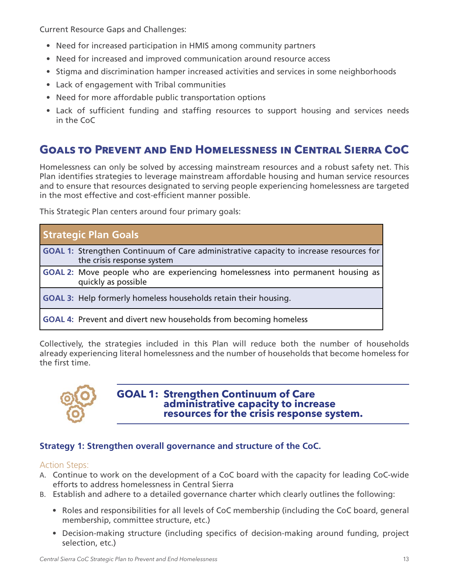<span id="page-12-0"></span>Current Resource Gaps and Challenges:

- Need for increased participation in HMIS among community partners
- Need for increased and improved communication around resource access
- Stigma and discrimination hamper increased activities and services in some neighborhoods
- Lack of engagement with Tribal communities
- Need for more affordable public transportation options
- Lack of sufficient funding and staffing resources to support housing and services needs in the CoC

## **Goals to Prevent and End Homelessness in Central Sierra CoC**

Homelessness can only be solved by accessing mainstream resources and a robust safety net. This Plan identifies strategies to leverage mainstream affordable housing and human service resources and to ensure that resources designated to serving people experiencing homelessness are targeted in the most effective and cost-efficient manner possible.

This Strategic Plan centers around four primary goals:

| <b>Strategic Plan Goals</b>                                                                                                 |
|-----------------------------------------------------------------------------------------------------------------------------|
| <b>GOAL 1:</b> Strengthen Continuum of Care administrative capacity to increase resources for<br>the crisis response system |
| <b>GOAL 2:</b> Move people who are experiencing homelessness into permanent housing as<br>quickly as possible               |
| <b>GOAL 3:</b> Help formerly homeless households retain their housing.                                                      |
| <b>GOAL 4: Prevent and divert new households from becoming homeless</b>                                                     |

Collectively, the strategies included in this Plan will reduce both the number of households already experiencing literal homelessness and the number of households that become homeless for the first time.



#### **GOAL 1: Strengthen Continuum of Care administrative capacity to increase resources for the crisis response system.**

#### **Strategy 1: Strengthen overall governance and structure of the CoC.**

- A. Continue to work on the development of a CoC board with the capacity for leading CoC-wide efforts to address homelessness in Central Sierra
- B. Establish and adhere to a detailed governance charter which clearly outlines the following:
	- Roles and responsibilities for all levels of CoC membership (including the CoC board, general membership, committee structure, etc.)
	- Decision-making structure (including specifics of decision-making around funding, project selection, etc.)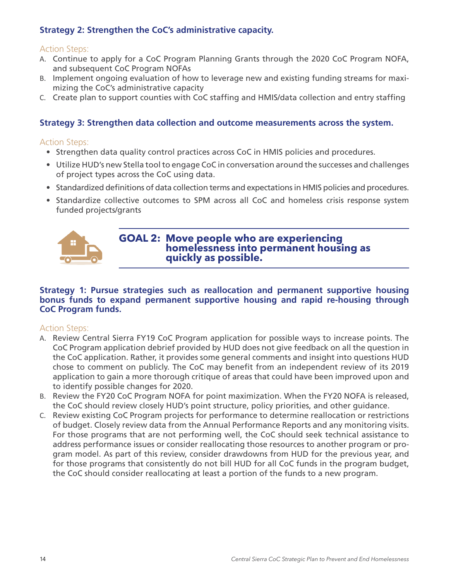#### **Strategy 2: Strengthen the CoC's administrative capacity.**

#### Action Steps:

- A. Continue to apply for a CoC Program Planning Grants through the 2020 CoC Program NOFA, and subsequent CoC Program NOFAs
- B. Implement ongoing evaluation of how to leverage new and existing funding streams for maximizing the CoC's administrative capacity
- C. Create plan to support counties with CoC staffing and HMIS/data collection and entry staffing

#### **Strategy 3: Strengthen data collection and outcome measurements across the system.**

#### Action Steps:

- Strengthen data quality control practices across CoC in HMIS policies and procedures.
- Utilize HUD's new Stella tool to engage CoC in conversation around the successes and challenges of project types across the CoC using data.
- Standardized definitions of data collection terms and expectations in HMIS policies and procedures.
- Standardize collective outcomes to SPM across all CoC and homeless crisis response system funded projects/grants



**GOAL 2: Move people who are experiencing homelessness into permanent housing as quickly as possible.**

#### **Strategy 1: Pursue strategies such as reallocation and permanent supportive housing bonus funds to expand permanent supportive housing and rapid re-housing through CoC Program funds.**

- A. Review Central Sierra FY19 CoC Program application for possible ways to increase points. The CoC Program application debrief provided by HUD does not give feedback on all the question in the CoC application. Rather, it provides some general comments and insight into questions HUD chose to comment on publicly. The CoC may benefit from an independent review of its 2019 application to gain a more thorough critique of areas that could have been improved upon and to identify possible changes for 2020.
- B. Review the FY20 CoC Program NOFA for point maximization. When the FY20 NOFA is released, the CoC should review closely HUD's point structure, policy priorities, and other guidance.
- C. Review existing CoC Program projects for performance to determine reallocation or restrictions of budget. Closely review data from the Annual Performance Reports and any monitoring visits. For those programs that are not performing well, the CoC should seek technical assistance to address performance issues or consider reallocating those resources to another program or program model. As part of this review, consider drawdowns from HUD for the previous year, and for those programs that consistently do not bill HUD for all CoC funds in the program budget, the CoC should consider reallocating at least a portion of the funds to a new program.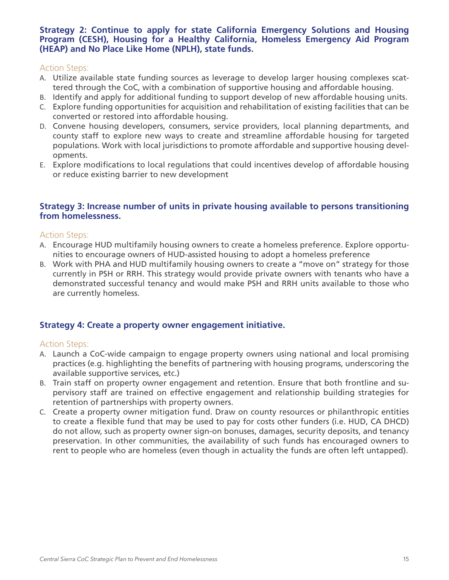#### **Strategy 2: Continue to apply for state California Emergency Solutions and Housing Program (CESH), Housing for a Healthy California, Homeless Emergency Aid Program (HEAP) and No Place Like Home (NPLH), state funds.**

#### Action Steps:

- A. Utilize available state funding sources as leverage to develop larger housing complexes scattered through the CoC, with a combination of supportive housing and affordable housing.
- B. Identify and apply for additional funding to support develop of new affordable housing units.
- C. Explore funding opportunities for acquisition and rehabilitation of existing facilities that can be converted or restored into affordable housing.
- D. Convene housing developers, consumers, service providers, local planning departments, and county staff to explore new ways to create and streamline affordable housing for targeted populations. Work with local jurisdictions to promote affordable and supportive housing developments.
- E. Explore modifications to local regulations that could incentives develop of affordable housing or reduce existing barrier to new development

#### **Strategy 3: Increase number of units in private housing available to persons transitioning from homelessness.**

#### Action Steps:

- A. Encourage HUD multifamily housing owners to create a homeless preference. Explore opportunities to encourage owners of HUD-assisted housing to adopt a homeless preference
- B. Work with PHA and HUD multifamily housing owners to create a "move on" strategy for those currently in PSH or RRH. This strategy would provide private owners with tenants who have a demonstrated successful tenancy and would make PSH and RRH units available to those who are currently homeless.

#### **Strategy 4: Create a property owner engagement initiative.**

- A. Launch a CoC-wide campaign to engage property owners using national and local promising practices (e.g. highlighting the benefits of partnering with housing programs, underscoring the available supportive services, etc.)
- B. Train staff on property owner engagement and retention. Ensure that both frontline and supervisory staff are trained on effective engagement and relationship building strategies for retention of partnerships with property owners.
- C. Create a property owner mitigation fund. Draw on county resources or philanthropic entities to create a flexible fund that may be used to pay for costs other funders (i.e. HUD, CA DHCD) do not allow, such as property owner sign-on bonuses, damages, security deposits, and tenancy preservation. In other communities, the availability of such funds has encouraged owners to rent to people who are homeless (even though in actuality the funds are often left untapped).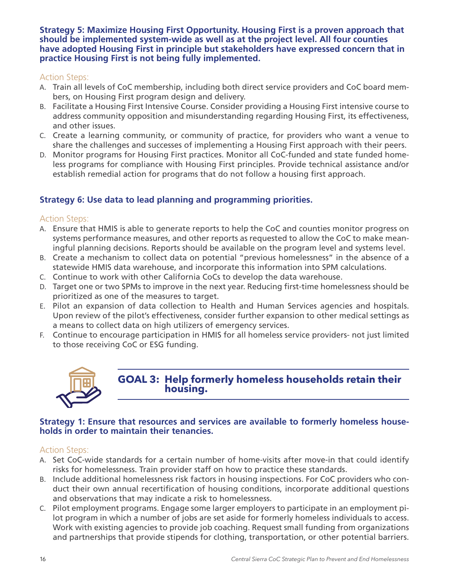**Strategy 5: Maximize Housing First Opportunity. Housing First is a proven approach that should be implemented system-wide as well as at the project level. All four counties have adopted Housing First in principle but stakeholders have expressed concern that in practice Housing First is not being fully implemented.**

#### Action Steps:

- A. Train all levels of CoC membership, including both direct service providers and CoC board members, on Housing First program design and delivery.
- B. Facilitate a Housing First Intensive Course. Consider providing a Housing First intensive course to address community opposition and misunderstanding regarding Housing First, its effectiveness, and other issues.
- C. Create a learning community, or community of practice, for providers who want a venue to share the challenges and successes of implementing a Housing First approach with their peers.
- D. Monitor programs for Housing First practices. Monitor all CoC-funded and state funded homeless programs for compliance with Housing First principles. Provide technical assistance and/or establish remedial action for programs that do not follow a housing first approach.

#### **Strategy 6: Use data to lead planning and programming priorities.**

#### Action Steps:

- A. Ensure that HMIS is able to generate reports to help the CoC and counties monitor progress on systems performance measures, and other reports as requested to allow the CoC to make meaningful planning decisions. Reports should be available on the program level and systems level.
- B. Create a mechanism to collect data on potential "previous homelessness" in the absence of a statewide HMIS data warehouse, and incorporate this information into SPM calculations.
- C. Continue to work with other California CoCs to develop the data warehouse.
- D. Target one or two SPMs to improve in the next year. Reducing first-time homelessness should be prioritized as one of the measures to target.
- E. Pilot an expansion of data collection to Health and Human Services agencies and hospitals. Upon review of the pilot's effectiveness, consider further expansion to other medical settings as a means to collect data on high utilizers of emergency services.
- F. Continue to encourage participation in HMIS for all homeless service providers- not just limited to those receiving CoC or ESG funding.



**GOAL 3: Help formerly homeless households retain their housing.**

#### **Strategy 1: Ensure that resources and services are available to formerly homeless households in order to maintain their tenancies.**

- A. Set CoC-wide standards for a certain number of home-visits after move-in that could identify risks for homelessness. Train provider staff on how to practice these standards.
- B. Include additional homelessness risk factors in housing inspections. For CoC providers who conduct their own annual recertification of housing conditions, incorporate additional questions and observations that may indicate a risk to homelessness.
- C. Pilot employment programs. Engage some larger employers to participate in an employment pilot program in which a number of jobs are set aside for formerly homeless individuals to access. Work with existing agencies to provide job coaching. Request small funding from organizations and partnerships that provide stipends for clothing, transportation, or other potential barriers.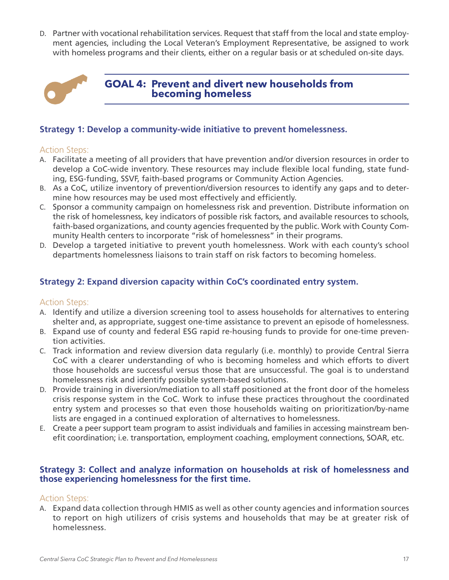D. Partner with vocational rehabilitation services. Request that staff from the local and state employment agencies, including the Local Veteran's Employment Representative, be assigned to work with homeless programs and their clients, either on a regular basis or at scheduled on-site days.



**GOAL 4: Prevent and divert new households from becoming homeless**

#### **Strategy 1: Develop a community-wide initiative to prevent homelessness.**

#### Action Steps:

- A. Facilitate a meeting of all providers that have prevention and/or diversion resources in order to develop a CoC-wide inventory. These resources may include flexible local funding, state funding, ESG-funding, SSVF, faith-based programs or Community Action Agencies.
- B. As a CoC, utilize inventory of prevention/diversion resources to identify any gaps and to determine how resources may be used most effectively and efficiently.
- C. Sponsor a community campaign on homelessness risk and prevention. Distribute information on the risk of homelessness, key indicators of possible risk factors, and available resources to schools, faith-based organizations, and county agencies frequented by the public. Work with County Community Health centers to incorporate "risk of homelessness" in their programs.
- D. Develop a targeted initiative to prevent youth homelessness. Work with each county's school departments homelessness liaisons to train staff on risk factors to becoming homeless.

#### **Strategy 2: Expand diversion capacity within CoC's coordinated entry system.**

#### Action Steps:

- A. Identify and utilize a diversion screening tool to assess households for alternatives to entering shelter and, as appropriate, suggest one-time assistance to prevent an episode of homelessness.
- B. Expand use of county and federal ESG rapid re-housing funds to provide for one-time prevention activities.
- C. Track information and review diversion data regularly (i.e. monthly) to provide Central Sierra CoC with a clearer understanding of who is becoming homeless and which efforts to divert those households are successful versus those that are unsuccessful. The goal is to understand homelessness risk and identify possible system-based solutions.
- D. Provide training in diversion/mediation to all staff positioned at the front door of the homeless crisis response system in the CoC. Work to infuse these practices throughout the coordinated entry system and processes so that even those households waiting on prioritization/by-name lists are engaged in a continued exploration of alternatives to homelessness.
- E. Create a peer support team program to assist individuals and families in accessing mainstream benefit coordination; i.e. transportation, employment coaching, employment connections, SOAR, etc.

#### **Strategy 3: Collect and analyze information on households at risk of homelessness and those experiencing homelessness for the first time.**

#### Action Steps:

A. Expand data collection through HMIS as well as other county agencies and information sources to report on high utilizers of crisis systems and households that may be at greater risk of homelessness.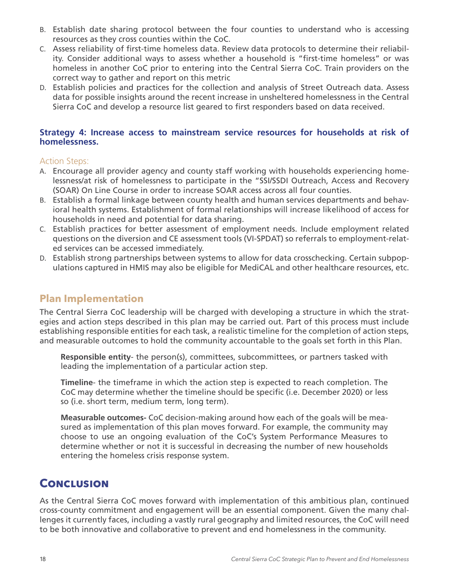- <span id="page-17-0"></span>B. Establish date sharing protocol between the four counties to understand who is accessing resources as they cross counties within the CoC.
- C. Assess reliability of first-time homeless data. Review data protocols to determine their reliability. Consider additional ways to assess whether a household is "first-time homeless" or was homeless in another CoC prior to entering into the Central Sierra CoC. Train providers on the correct way to gather and report on this metric
- D. Establish policies and practices for the collection and analysis of Street Outreach data. Assess data for possible insights around the recent increase in unsheltered homelessness in the Central Sierra CoC and develop a resource list geared to first responders based on data received.

#### **Strategy 4: Increase access to mainstream service resources for households at risk of homelessness.**

#### Action Steps:

- A. Encourage all provider agency and county staff working with households experiencing homelessness/at risk of homelessness to participate in the "SSI/SSDI Outreach, Access and Recovery (SOAR) On Line Course in order to increase SOAR access across all four counties.
- B. Establish a formal linkage between county health and human services departments and behavioral health systems. Establishment of formal relationships will increase likelihood of access for households in need and potential for data sharing.
- C. Establish practices for better assessment of employment needs. Include employment related questions on the diversion and CE assessment tools (VI-SPDAT) so referrals to employment-related services can be accessed immediately.
- D. Establish strong partnerships between systems to allow for data crosschecking. Certain subpopulations captured in HMIS may also be eligible for MediCAL and other healthcare resources, etc.

## **Plan Implementation**

The Central Sierra CoC leadership will be charged with developing a structure in which the strategies and action steps described in this plan may be carried out. Part of this process must include establishing responsible entities for each task, a realistic timeline for the completion of action steps, and measurable outcomes to hold the community accountable to the goals set forth in this Plan.

**Responsible entity**- the person(s), committees, subcommittees, or partners tasked with leading the implementation of a particular action step.

**Timeline**- the timeframe in which the action step is expected to reach completion. The CoC may determine whether the timeline should be specific (i.e. December 2020) or less so (i.e. short term, medium term, long term).

**Measurable outcomes-** CoC decision-making around how each of the goals will be measured as implementation of this plan moves forward. For example, the community may choose to use an ongoing evaluation of the CoC's System Performance Measures to determine whether or not it is successful in decreasing the number of new households entering the homeless crisis response system.

## **Conclusion**

As the Central Sierra CoC moves forward with implementation of this ambitious plan, continued cross-county commitment and engagement will be an essential component. Given the many challenges it currently faces, including a vastly rural geography and limited resources, the CoC will need to be both innovative and collaborative to prevent and end homelessness in the community.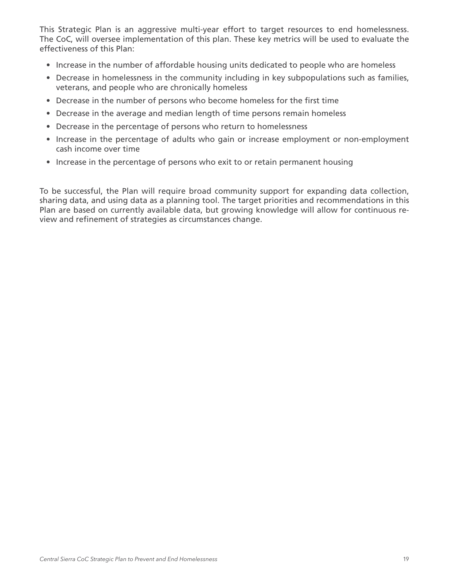This Strategic Plan is an aggressive multi-year effort to target resources to end homelessness. The CoC, will oversee implementation of this plan. These key metrics will be used to evaluate the effectiveness of this Plan:

- Increase in the number of affordable housing units dedicated to people who are homeless
- Decrease in homelessness in the community including in key subpopulations such as families, veterans, and people who are chronically homeless
- Decrease in the number of persons who become homeless for the first time
- Decrease in the average and median length of time persons remain homeless
- Decrease in the percentage of persons who return to homelessness
- Increase in the percentage of adults who gain or increase employment or non-employment cash income over time
- Increase in the percentage of persons who exit to or retain permanent housing

To be successful, the Plan will require broad community support for expanding data collection, sharing data, and using data as a planning tool. The target priorities and recommendations in this Plan are based on currently available data, but growing knowledge will allow for continuous review and refinement of strategies as circumstances change.